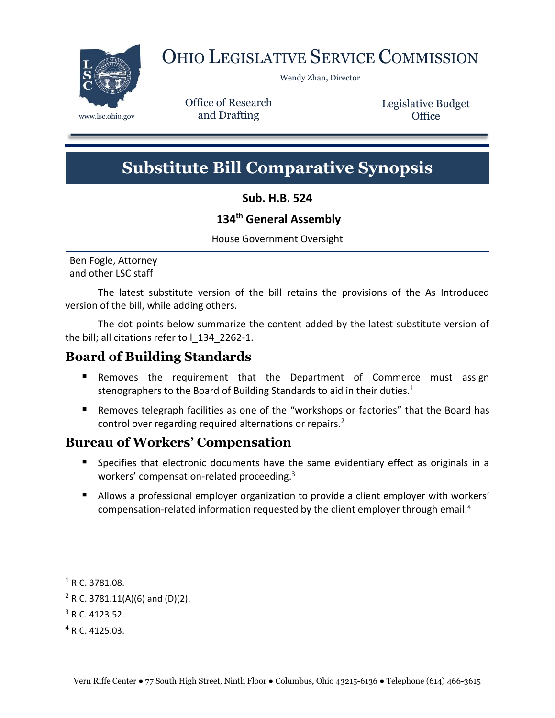

# OHIO LEGISLATIVE SERVICE COMMISSION

Wendy Zhan, Director

Office of Research www.lsc.ohio.gov and Drafting

Legislative Budget **Office** 

# **Substitute Bill Comparative Synopsis**

**Sub. H.B. 524**

## **134th General Assembly**

House Government Oversight

Ben Fogle, Attorney and other LSC staff

The latest substitute version of the bill retains the provisions of the As Introduced version of the bill, while adding others.

The dot points below summarize the content added by the latest substitute version of the bill; all citations refer to l\_134\_2262-1.

# **Board of Building Standards**

- **Removes the requirement that the Department of Commerce must assign** stenographers to the Board of Building Standards to aid in their duties. $1$
- Removes telegraph facilities as one of the "workshops or factories" that the Board has control over regarding required alternations or repairs.<sup>2</sup>

# **Bureau of Workers' Compensation**

- **Specifies that electronic documents have the same evidentiary effect as originals in a** workers' compensation-related proceeding.<sup>3</sup>
- Allows a professional employer organization to provide a client employer with workers' compensation-related information requested by the client employer through email.<sup>4</sup>

<sup>1</sup> R.C. 3781.08.

 $2$  R.C. 3781.11(A)(6) and (D)(2).

 $3$  R.C. 4123.52.

<sup>4</sup> R.C. 4125.03.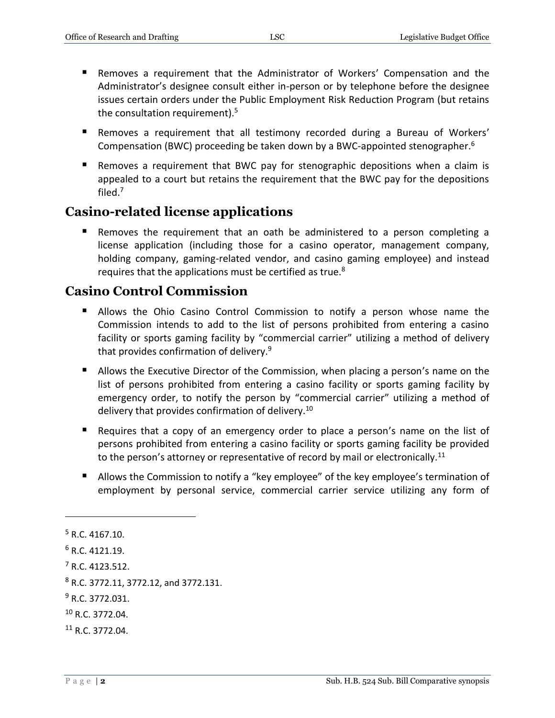- Removes a requirement that the Administrator of Workers' Compensation and the Administrator's designee consult either in-person or by telephone before the designee issues certain orders under the Public Employment Risk Reduction Program (but retains the consultation requirement).<sup>5</sup>
- Removes a requirement that all testimony recorded during a Bureau of Workers' Compensation (BWC) proceeding be taken down by a BWC-appointed stenographer.<sup>6</sup>
- Removes a requirement that BWC pay for stenographic depositions when a claim is appealed to a court but retains the requirement that the BWC pay for the depositions filed.<sup>7</sup>

## **Casino-related license applications**

 Removes the requirement that an oath be administered to a person completing a license application (including those for a casino operator, management company, holding company, gaming-related vendor, and casino gaming employee) and instead requires that the applications must be certified as true. $8<sup>8</sup>$ 

# **Casino Control Commission**

- Allows the Ohio Casino Control Commission to notify a person whose name the Commission intends to add to the list of persons prohibited from entering a casino facility or sports gaming facility by "commercial carrier" utilizing a method of delivery that provides confirmation of delivery.<sup>9</sup>
- Allows the Executive Director of the Commission, when placing a person's name on the list of persons prohibited from entering a casino facility or sports gaming facility by emergency order, to notify the person by "commercial carrier" utilizing a method of delivery that provides confirmation of delivery.<sup>10</sup>
- Requires that a copy of an emergency order to place a person's name on the list of persons prohibited from entering a casino facility or sports gaming facility be provided to the person's attorney or representative of record by mail or electronically.<sup>11</sup>
- Allows the Commission to notify a "key employee" of the key employee's termination of employment by personal service, commercial carrier service utilizing any form of

 $\overline{a}$ 

<sup>11</sup> R.C. 3772.04.

 $5$  R.C. 4167.10.

 $6$  R.C. 4121.19.

<sup>7</sup> R.C. 4123.512.

<sup>8</sup> R.C. 3772.11, 3772.12, and 3772.131.

 $9$  R.C. 3772.031.

<sup>10</sup> R.C. 3772.04.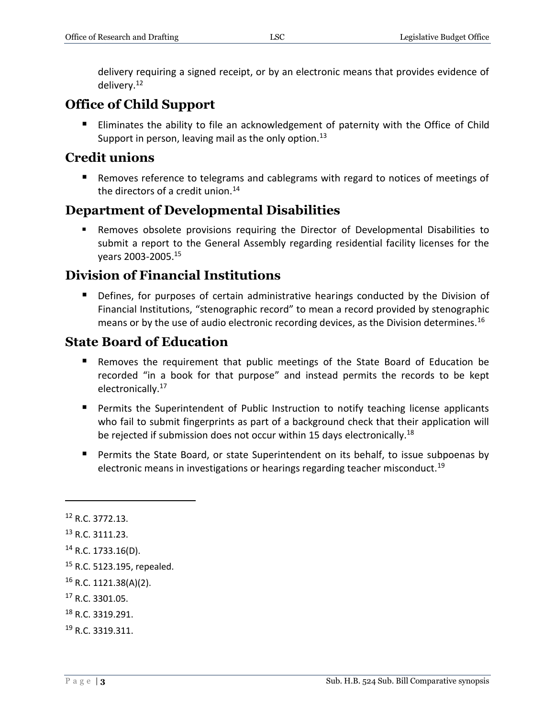delivery requiring a signed receipt, or by an electronic means that provides evidence of delivery.<sup>12</sup>

# **Office of Child Support**

 Eliminates the ability to file an acknowledgement of paternity with the Office of Child Support in person, leaving mail as the only option.<sup>13</sup>

# **Credit unions**

**Removes reference to telegrams and cablegrams with regard to notices of meetings of** the directors of a credit union. $14$ 

# **Department of Developmental Disabilities**

 Removes obsolete provisions requiring the Director of Developmental Disabilities to submit a report to the General Assembly regarding residential facility licenses for the years 2003-2005.<sup>15</sup>

# **Division of Financial Institutions**

**Defines, for purposes of certain administrative hearings conducted by the Division of** Financial Institutions, "stenographic record" to mean a record provided by stenographic means or by the use of audio electronic recording devices, as the Division determines.<sup>16</sup>

# **State Board of Education**

- Removes the requirement that public meetings of the State Board of Education be recorded "in a book for that purpose" and instead permits the records to be kept electronically.<sup>17</sup>
- **Permits the Superintendent of Public Instruction to notify teaching license applicants** who fail to submit fingerprints as part of a background check that their application will be rejected if submission does not occur within 15 days electronically.<sup>18</sup>
- **Permits the State Board, or state Superintendent on its behalf, to issue subpoenas by** electronic means in investigations or hearings regarding teacher misconduct.<sup>19</sup>

<sup>12</sup> R.C. 3772.13.

<sup>13</sup> R.C. 3111.23.

<sup>14</sup> R.C. 1733.16(D).

<sup>15</sup> R.C. 5123.195, repealed.

 $16$  R.C. 1121.38(A)(2).

<sup>17</sup> R.C. 3301.05.

<sup>18</sup> R.C. 3319.291.

<sup>19</sup> R.C. 3319.311.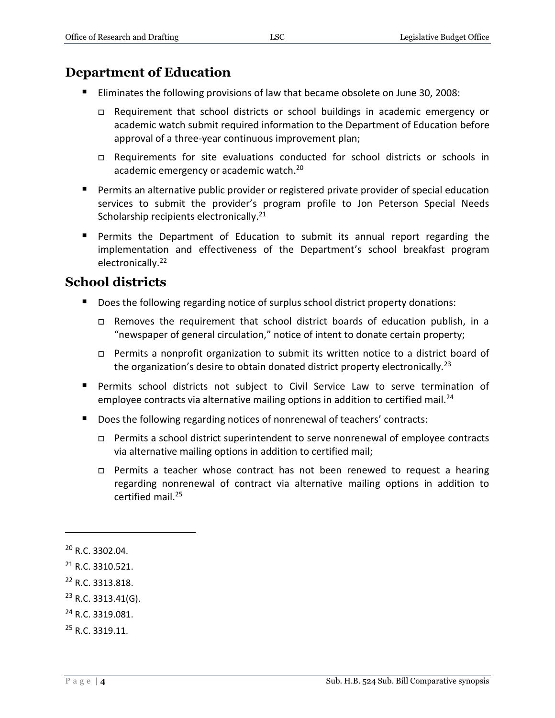# **Department of Education**

- Eliminates the following provisions of law that became obsolete on June 30, 2008:
	- Requirement that school districts or school buildings in academic emergency or academic watch submit required information to the Department of Education before approval of a three-year continuous improvement plan;
	- Requirements for site evaluations conducted for school districts or schools in academic emergency or academic watch.<sup>20</sup>
- **Permits an alternative public provider or registered private provider of special education** services to submit the provider's program profile to Jon Peterson Special Needs Scholarship recipients electronically.<sup>21</sup>
- Permits the Department of Education to submit its annual report regarding the implementation and effectiveness of the Department's school breakfast program electronically.<sup>22</sup>

# **School districts**

- Does the following regarding notice of surplus school district property donations:
	- Removes the requirement that school district boards of education publish, in a "newspaper of general circulation," notice of intent to donate certain property;
	- Permits a nonprofit organization to submit its written notice to a district board of the organization's desire to obtain donated district property electronically.<sup>23</sup>
- Permits school districts not subject to Civil Service Law to serve termination of employee contracts via alternative mailing options in addition to certified mail.<sup>24</sup>
- Does the following regarding notices of nonrenewal of teachers' contracts:
	- □ Permits a school district superintendent to serve nonrenewal of employee contracts via alternative mailing options in addition to certified mail;
	- □ Permits a teacher whose contract has not been renewed to request a hearing regarding nonrenewal of contract via alternative mailing options in addition to certified mail.<sup>25</sup>

- <sup>24</sup> R.C. 3319.081.
- <sup>25</sup> R.C. 3319.11.

<sup>20</sup> R.C. 3302.04.

<sup>21</sup> R.C. 3310.521.

<sup>22</sup> R.C. 3313.818.

 $23$  R.C. 3313.41(G).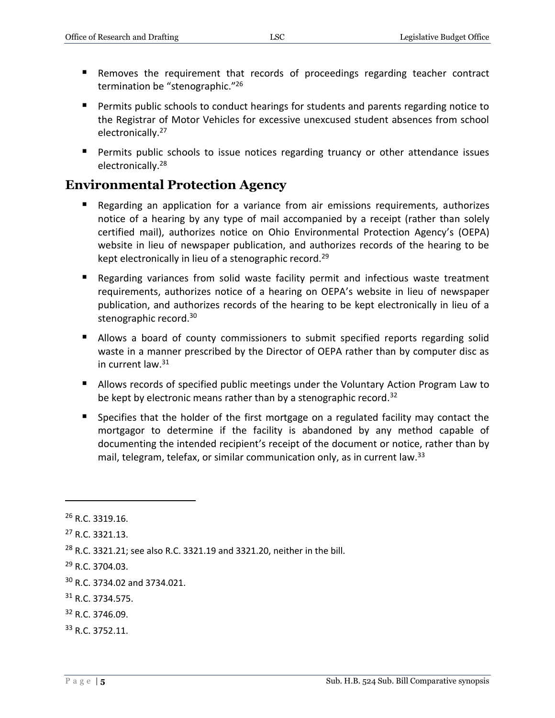- Removes the requirement that records of proceedings regarding teacher contract termination be "stenographic."<sup>26</sup>
- Permits public schools to conduct hearings for students and parents regarding notice to the Registrar of Motor Vehicles for excessive unexcused student absences from school electronically.<sup>27</sup>
- **Permits public schools to issue notices regarding truancy or other attendance issues** electronically.<sup>28</sup>

# **Environmental Protection Agency**

- Regarding an application for a variance from air emissions requirements, authorizes notice of a hearing by any type of mail accompanied by a receipt (rather than solely certified mail), authorizes notice on Ohio Environmental Protection Agency's (OEPA) website in lieu of newspaper publication, and authorizes records of the hearing to be kept electronically in lieu of a stenographic record.<sup>29</sup>
- Regarding variances from solid waste facility permit and infectious waste treatment requirements, authorizes notice of a hearing on OEPA's website in lieu of newspaper publication, and authorizes records of the hearing to be kept electronically in lieu of a stenographic record. 30
- **Allows a board of county commissioners to submit specified reports regarding solid** waste in a manner prescribed by the Director of OEPA rather than by computer disc as in current law.<sup>31</sup>
- Allows records of specified public meetings under the Voluntary Action Program Law to be kept by electronic means rather than by a stenographic record.<sup>32</sup>
- Specifies that the holder of the first mortgage on a regulated facility may contact the mortgagor to determine if the facility is abandoned by any method capable of documenting the intended recipient's receipt of the document or notice, rather than by mail, telegram, telefax, or similar communication only, as in current law.<sup>33</sup>

 $\overline{a}$ 

<sup>33</sup> R.C. 3752.11.

 $26$  R.C. 3319.16.

<sup>27</sup> R.C. 3321.13.

<sup>28</sup> R.C. 3321.21; see also R.C. 3321.19 and 3321.20, neither in the bill.

<sup>29</sup> R.C. 3704.03.

<sup>30</sup> R.C. 3734.02 and 3734.021.

<sup>31</sup> R.C. 3734.575.

<sup>32</sup> R.C. 3746.09.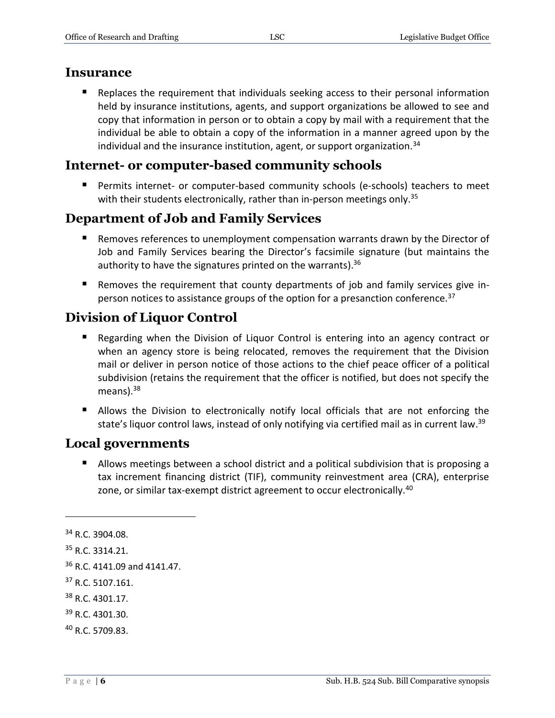#### **Insurance**

 Replaces the requirement that individuals seeking access to their personal information held by insurance institutions, agents, and support organizations be allowed to see and copy that information in person or to obtain a copy by mail with a requirement that the individual be able to obtain a copy of the information in a manner agreed upon by the individual and the insurance institution, agent, or support organization.<sup>34</sup>

# **Internet- or computer-based community schools**

 Permits internet- or computer-based community schools (e-schools) teachers to meet with their students electronically, rather than in-person meetings only.<sup>35</sup>

# **Department of Job and Family Services**

- **Removes references to unemployment compensation warrants drawn by the Director of** Job and Family Services bearing the Director's facsimile signature (but maintains the authority to have the signatures printed on the warrants).<sup>36</sup>
- Removes the requirement that county departments of job and family services give inperson notices to assistance groups of the option for a presanction conference.<sup>37</sup>

# **Division of Liquor Control**

- Regarding when the Division of Liquor Control is entering into an agency contract or when an agency store is being relocated, removes the requirement that the Division mail or deliver in person notice of those actions to the chief peace officer of a political subdivision (retains the requirement that the officer is notified, but does not specify the means). $38$
- Allows the Division to electronically notify local officials that are not enforcing the state's liquor control laws, instead of only notifying via certified mail as in current law.<sup>39</sup>

# **Local governments**

■ Allows meetings between a school district and a political subdivision that is proposing a tax increment financing district (TIF), community reinvestment area (CRA), enterprise zone, or similar tax-exempt district agreement to occur electronically.<sup>40</sup>

 $34$  R.C. 3904.08.

<sup>35</sup> R.C. 3314.21.

<sup>&</sup>lt;sup>36</sup> R.C. 4141.09 and 4141.47.

<sup>37</sup> R.C. 5107.161.

<sup>38</sup> R.C. 4301.17.

<sup>39</sup> R.C. 4301.30.

<sup>40</sup> R.C. 5709.83.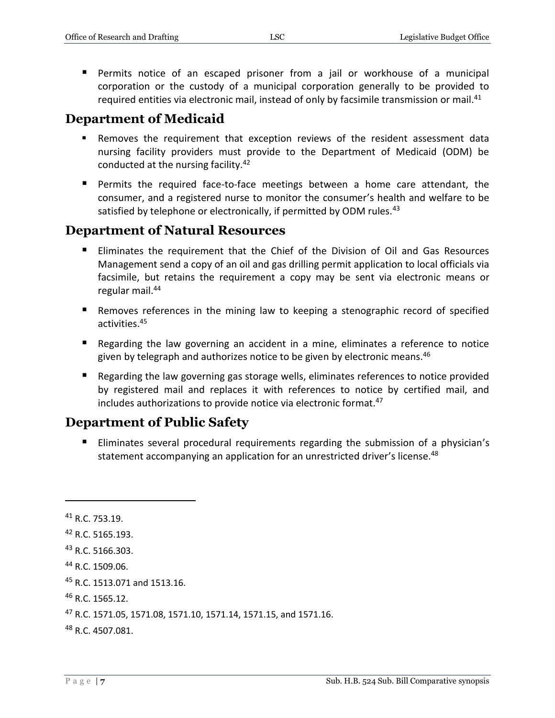Permits notice of an escaped prisoner from a jail or workhouse of a municipal corporation or the custody of a municipal corporation generally to be provided to required entities via electronic mail, instead of only by facsimile transmission or mail.<sup>41</sup>

# **Department of Medicaid**

- Removes the requirement that exception reviews of the resident assessment data nursing facility providers must provide to the Department of Medicaid (ODM) be conducted at the nursing facility.<sup>42</sup>
- Permits the required face-to-face meetings between a home care attendant, the consumer, and a registered nurse to monitor the consumer's health and welfare to be satisfied by telephone or electronically, if permitted by ODM rules.<sup>43</sup>

## **Department of Natural Resources**

- Eliminates the requirement that the Chief of the Division of Oil and Gas Resources Management send a copy of an oil and gas drilling permit application to local officials via facsimile, but retains the requirement a copy may be sent via electronic means or regular mail.<sup>44</sup>
- Removes references in the mining law to keeping a stenographic record of specified activities.<sup>45</sup>
- Regarding the law governing an accident in a mine, eliminates a reference to notice given by telegraph and authorizes notice to be given by electronic means.<sup>46</sup>
- Regarding the law governing gas storage wells, eliminates references to notice provided by registered mail and replaces it with references to notice by certified mail, and includes authorizations to provide notice via electronic format.<sup>47</sup>

# **Department of Public Safety**

**Eliminates several procedural requirements regarding the submission of a physician's** statement accompanying an application for an unrestricted driver's license.<sup>48</sup>

 $41$  R.C. 753.19. <sup>42</sup> R.C. 5165.193. <sup>43</sup> R.C. 5166.303. <sup>44</sup> R.C. 1509.06.

<sup>45</sup> R.C. 1513.071 and 1513.16.

<sup>46</sup> R.C. 1565.12.

<sup>47</sup> R.C. 1571.05, 1571.08, 1571.10, 1571.14, 1571.15, and 1571.16.

<sup>48</sup> R.C. 4507.081.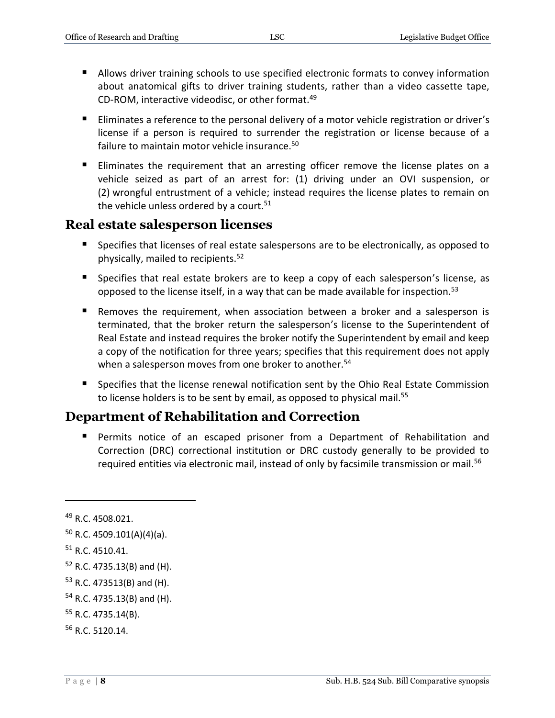- Allows driver training schools to use specified electronic formats to convey information about anatomical gifts to driver training students, rather than a video cassette tape, CD-ROM, interactive videodisc, or other format.<sup>49</sup>
- **Eliminates a reference to the personal delivery of a motor vehicle registration or driver's** license if a person is required to surrender the registration or license because of a failure to maintain motor vehicle insurance.<sup>50</sup>
- Eliminates the requirement that an arresting officer remove the license plates on a vehicle seized as part of an arrest for: (1) driving under an OVI suspension, or (2) wrongful entrustment of a vehicle; instead requires the license plates to remain on the vehicle unless ordered by a court.<sup>51</sup>

#### **Real estate salesperson licenses**

- Specifies that licenses of real estate salespersons are to be electronically, as opposed to physically, mailed to recipients.<sup>52</sup>
- **Specifies that real estate brokers are to keep a copy of each salesperson's license, as** opposed to the license itself, in a way that can be made available for inspection.<sup>53</sup>
- Removes the requirement, when association between a broker and a salesperson is terminated, that the broker return the salesperson's license to the Superintendent of Real Estate and instead requires the broker notify the Superintendent by email and keep a copy of the notification for three years; specifies that this requirement does not apply when a salesperson moves from one broker to another.<sup>54</sup>
- **Specifies that the license renewal notification sent by the Ohio Real Estate Commission** to license holders is to be sent by email, as opposed to physical mail.<sup>55</sup>

# **Department of Rehabilitation and Correction**

 Permits notice of an escaped prisoner from a Department of Rehabilitation and Correction (DRC) correctional institution or DRC custody generally to be provided to required entities via electronic mail, instead of only by facsimile transmission or mail.<sup>56</sup>

<sup>&</sup>lt;sup>49</sup> R.C. 4508.021.

 $50$  R.C. 4509.101(A)(4)(a).

<sup>51</sup> R.C. 4510.41.

<sup>52</sup> R.C. 4735.13(B) and (H).

<sup>53</sup> R.C. 473513(B) and (H).

 $54$  R.C. 4735.13(B) and (H).

<sup>55</sup> R.C. 4735.14(B).

<sup>56</sup> R.C. 5120.14.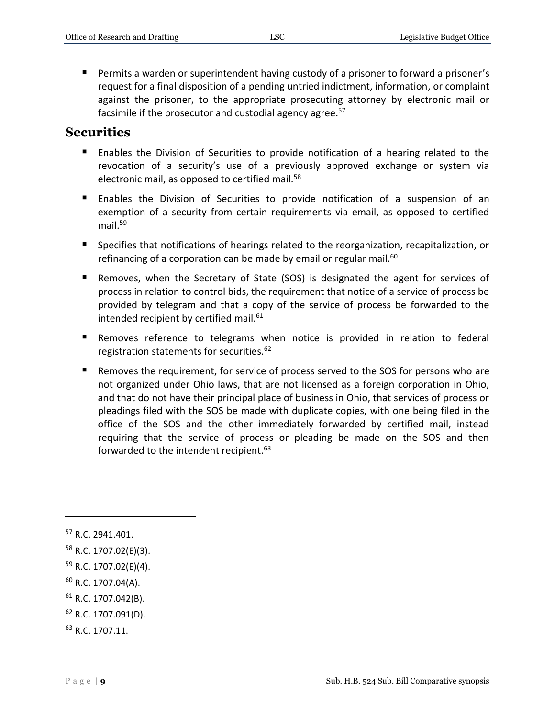Permits a warden or superintendent having custody of a prisoner to forward a prisoner's request for a final disposition of a pending untried indictment, information, or complaint against the prisoner, to the appropriate prosecuting attorney by electronic mail or facsimile if the prosecutor and custodial agency agree.<sup>57</sup>

#### **Securities**

- Enables the Division of Securities to provide notification of a hearing related to the revocation of a security's use of a previously approved exchange or system via electronic mail, as opposed to certified mail*.* 58
- Enables the Division of Securities to provide notification of a suspension of an exemption of a security from certain requirements via email, as opposed to certified mail. $59$
- Specifies that notifications of hearings related to the reorganization, recapitalization, or refinancing of a corporation can be made by email or regular mail.<sup>60</sup>
- Removes, when the Secretary of State (SOS) is designated the agent for services of process in relation to control bids, the requirement that notice of a service of process be provided by telegram and that a copy of the service of process be forwarded to the intended recipient by certified mail.<sup>61</sup>
- Removes reference to telegrams when notice is provided in relation to federal registration statements for securities.<sup>62</sup>
- Removes the requirement, for service of process served to the SOS for persons who are not organized under Ohio laws, that are not licensed as a foreign corporation in Ohio, and that do not have their principal place of business in Ohio, that services of process or pleadings filed with the SOS be made with duplicate copies, with one being filed in the office of the SOS and the other immediately forwarded by certified mail, instead requiring that the service of process or pleading be made on the SOS and then forwarded to the intendent recipient.<sup>63</sup>

 $\overline{a}$ 

<sup>61</sup> R.C. 1707.042(B).

<sup>&</sup>lt;sup>57</sup> R.C. 2941.401.

<sup>58</sup> R.C. 1707.02(E)(3).

<sup>59</sup> R.C. 1707.02(E)(4).

<sup>60</sup> R.C. 1707.04(A).

<sup>62</sup> R.C. 1707.091(D).

<sup>63</sup> R.C. 1707.11.